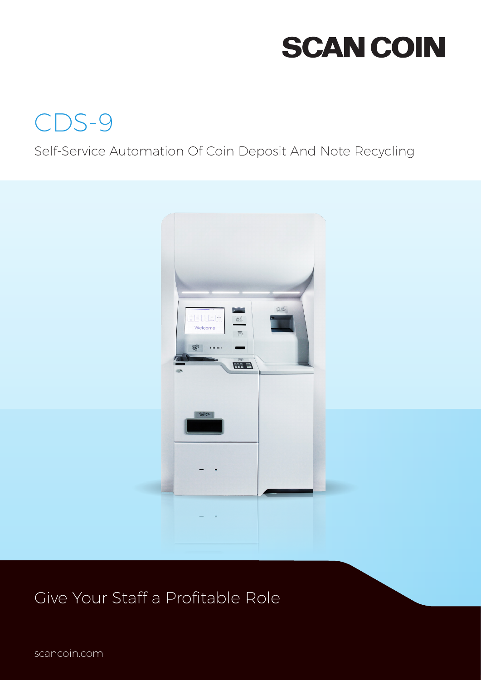# **SCAN COIN**



### Self-Service Automation Of Coin Deposit And Note Recycling



### Give Your Staff a Profitable Role

scancoin.com